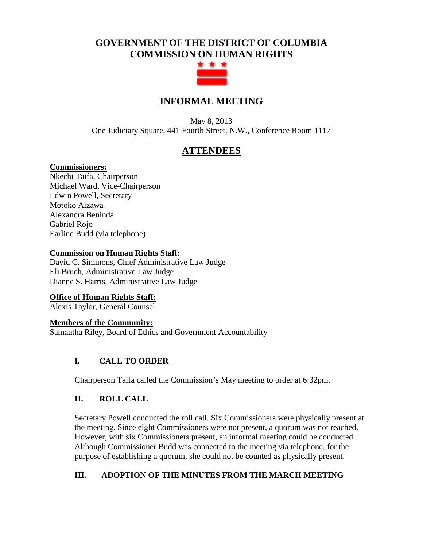# **GOVERNMENT OF THE DISTRICT OF COLUMBIA COMMISSION ON HUMAN RIGHTS**



# **INFORMAL MEETING**

May 8, 2013 One Judiciary Square, 441 Fourth Street, N.W., Conference Room 1117

# **ATTENDEES**

### **Commissioners:**

Nkechi Taifa, Chairperson Michael Ward, Vice-Chairperson Edwin Powell, Secretary Motoko Aizawa Alexandra Beninda Gabriel Rojo Earline Budd (via telephone)

### **Commission on Human Rights Staff:**

David C. Simmons, Chief Administrative Law Judge Eli Bruch, Administrative Law Judge Dianne S. Harris, Administrative Law Judge

## **Office of Human Rights Staff:**

Alexis Taylor, General Counsel

### **Members of the Community:**

Samantha Riley, Board of Ethics and Government Accountability

## **I. CALL TO ORDER**

Chairperson Taifa called the Commission's May meeting to order at 6:32pm.

## **II. ROLL CALL**

Secretary Powell conducted the roll call. Six Commissioners were physically present at the meeting. Since eight Commissioners were not present, a quorum was not reached. However, with six Commissioners present, an informal meeting could be conducted. Although Commissioner Budd was connected to the meeting via telephone, for the purpose of establishing a quorum, she could not be counted as physically present.

# **III. ADOPTION OF THE MINUTES FROM THE MARCH MEETING**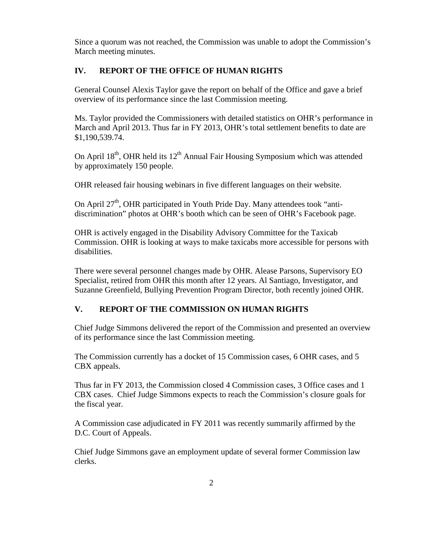Since a quorum was not reached, the Commission was unable to adopt the Commission's March meeting minutes.

### **IV. REPORT OF THE OFFICE OF HUMAN RIGHTS**

General Counsel Alexis Taylor gave the report on behalf of the Office and gave a brief overview of its performance since the last Commission meeting.

Ms. Taylor provided the Commissioners with detailed statistics on OHR's performance in March and April 2013. Thus far in FY 2013, OHR's total settlement benefits to date are \$1,190,539.74.

On April  $18<sup>th</sup>$ , OHR held its  $12<sup>th</sup>$  Annual Fair Housing Symposium which was attended by approximately 150 people.

OHR released fair housing webinars in five different languages on their website.

On April  $27<sup>th</sup>$ , OHR participated in Youth Pride Day. Many attendees took "antidiscrimination" photos at OHR's booth which can be seen of OHR's Facebook page.

OHR is actively engaged in the Disability Advisory Committee for the Taxicab Commission. OHR is looking at ways to make taxicabs more accessible for persons with disabilities.

There were several personnel changes made by OHR. Alease Parsons, Supervisory EO Specialist, retired from OHR this month after 12 years. Al Santiago, Investigator, and Suzanne Greenfield, Bullying Prevention Program Director, both recently joined OHR.

## **V. REPORT OF THE COMMISSION ON HUMAN RIGHTS**

Chief Judge Simmons delivered the report of the Commission and presented an overview of its performance since the last Commission meeting.

The Commission currently has a docket of 15 Commission cases, 6 OHR cases, and 5 CBX appeals.

Thus far in FY 2013, the Commission closed 4 Commission cases, 3 Office cases and 1 CBX cases. Chief Judge Simmons expects to reach the Commission's closure goals for the fiscal year.

A Commission case adjudicated in FY 2011 was recently summarily affirmed by the D.C. Court of Appeals.

Chief Judge Simmons gave an employment update of several former Commission law clerks.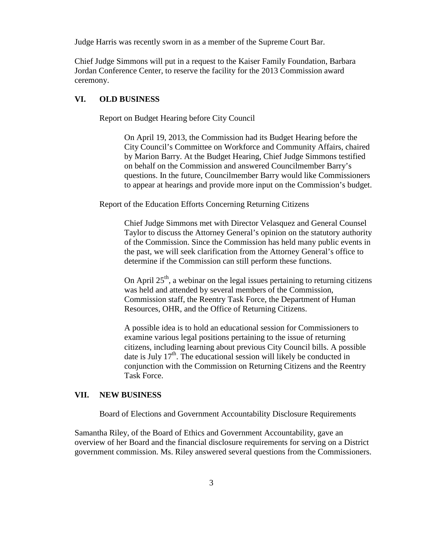Judge Harris was recently sworn in as a member of the Supreme Court Bar.

Chief Judge Simmons will put in a request to the Kaiser Family Foundation, Barbara Jordan Conference Center, to reserve the facility for the 2013 Commission award ceremony.

### **VI. OLD BUSINESS**

Report on Budget Hearing before City Council

On April 19, 2013, the Commission had its Budget Hearing before the City Council's Committee on Workforce and Community Affairs, chaired by Marion Barry. At the Budget Hearing, Chief Judge Simmons testified on behalf on the Commission and answered Councilmember Barry's questions. In the future, Councilmember Barry would like Commissioners to appear at hearings and provide more input on the Commission's budget.

Report of the Education Efforts Concerning Returning Citizens

Chief Judge Simmons met with Director Velasquez and General Counsel Taylor to discuss the Attorney General's opinion on the statutory authority of the Commission. Since the Commission has held many public events in the past, we will seek clarification from the Attorney General's office to determine if the Commission can still perform these functions.

On April  $25<sup>th</sup>$ , a webinar on the legal issues pertaining to returning citizens was held and attended by several members of the Commission, Commission staff, the Reentry Task Force, the Department of Human Resources, OHR, and the Office of Returning Citizens.

A possible idea is to hold an educational session for Commissioners to examine various legal positions pertaining to the issue of returning citizens, including learning about previous City Council bills. A possible date is July  $17<sup>th</sup>$ . The educational session will likely be conducted in conjunction with the Commission on Returning Citizens and the Reentry Task Force.

### **VII. NEW BUSINESS**

Board of Elections and Government Accountability Disclosure Requirements

Samantha Riley, of the Board of Ethics and Government Accountability, gave an overview of her Board and the financial disclosure requirements for serving on a District government commission. Ms. Riley answered several questions from the Commissioners.